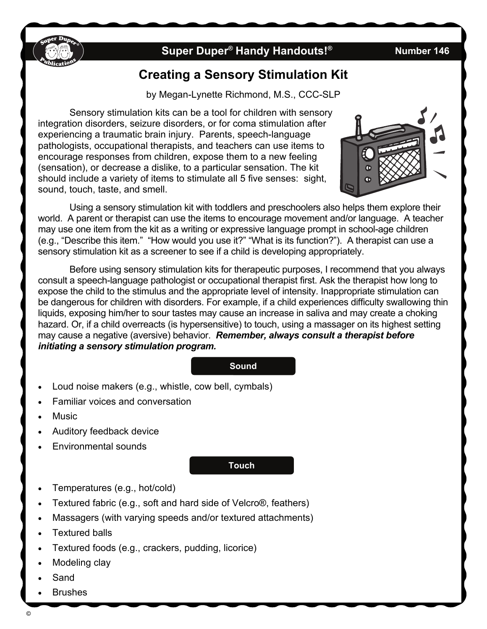

## **Super Duper<sup>®</sup> Handy Handouts!<sup>®</sup> Number 146**

# **Creating a Sensory Stimulation Kit**

by Megan-Lynette Richmond, M.S., CCC-SLP

Sensory stimulation kits can be a tool for children with sensory integration disorders, seizure disorders, or for coma stimulation after experiencing a traumatic brain injury. Parents, speech-language pathologists, occupational therapists, and teachers can use items to encourage responses from children, expose them to a new feeling (sensation), or decrease a dislike, to a particular sensation. The kit should include a variety of items to stimulate all 5 five senses: sight, sound, touch, taste, and smell.



Using a sensory stimulation kit with toddlers and preschoolers also helps them explore their world. A parent or therapist can use the items to encourage movement and/or language. A teacher may use one item from the kit as a writing or expressive language prompt in school-age children (e.g., "Describe this item." "How would you use it?" "What is its function?"). A therapist can use a sensory stimulation kit as a screener to see if a child is developing appropriately.

Before using sensory stimulation kits for therapeutic purposes, I recommend that you always consult a speech-language pathologist or occupational therapist first. Ask the therapist how long to expose the child to the stimulus and the appropriate level of intensity. Inappropriate stimulation can be dangerous for children with disorders. For example, if a child experiences difficulty swallowing thin liquids, exposing him/her to sour tastes may cause an increase in saliva and may create a choking hazard. Or, if a child overreacts (is hypersensitive) to touch, using a massager on its highest setting may cause a negative (aversive) behavior. *Remember, always consult a therapist before initiating a sensory stimulation program.*

#### **Sound**

- Loud noise makers (e.g., whistle, cow bell, cymbals)
- Familiar voices and conversation
- Music
- Auditory feedback device
- Environmental sounds

#### **Touch**

- Temperatures (e.g., hot/cold)
- Textured fabric (e.g., soft and hard side of Velcro®, feathers)
- Massagers (with varying speeds and/or textured attachments)
- Textured balls
- Textured foods (e.g., crackers, pudding, licorice)
- Modeling clay
- Sand
- Brushes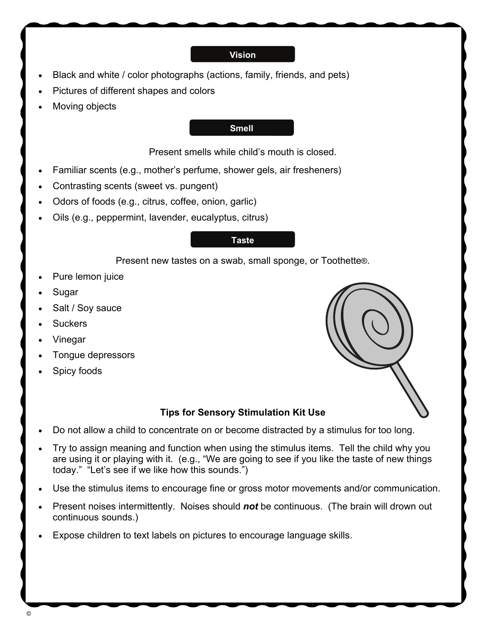#### **Vision**

- Black and white / color photographs (actions, family, friends, and pets)
- Pictures of different shapes and colors
- Moving objects

#### **Smell**

Present smells while child's mouth is closed.

- Familiar scents (e.g., mother's perfume, shower gels, air fresheners)
- Contrasting scents (sweet vs. pungent)
- Odors of foods (e.g., citrus, coffee, onion, garlic)
- Oils (e.g., peppermint, lavender, eucalyptus, citrus)

### **Taste**

Present new tastes on a swab, small sponge, or Toothette®.

- Pure lemon juice
- Sugar
- Salt / Soy sauce
- **Suckers**
- Vinegar
- Tongue depressors
- Spicy foods



### **Tips for Sensory Stimulation Kit Use**

- Do not allow a child to concentrate on or become distracted by a stimulus for too long.
- Try to assign meaning and function when using the stimulus items. Tell the child why you are using it or playing with it. (e.g., "We are going to see if you like the taste of new things today." "Let's see if we like how this sounds.")
- Use the stimulus items to encourage fine or gross motor movements and/or communication.
- Present noises intermittently. Noises should *not* be continuous. (The brain will drown out continuous sounds.)
- Expose children to text labels on pictures to encourage language skills.